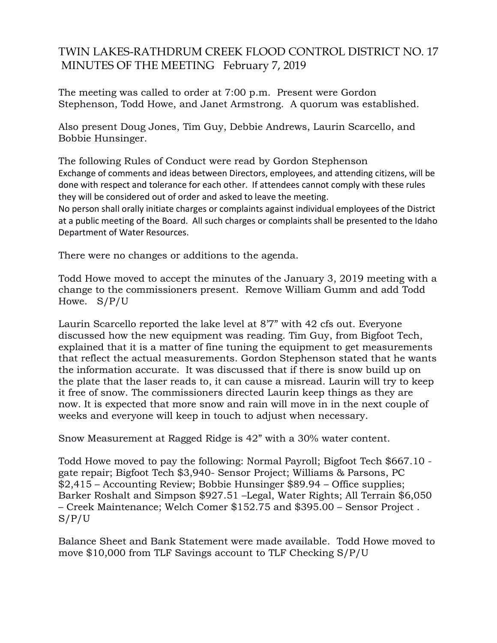## TWIN LAKES-RATHDRUM CREEK FLOOD CONTROL DISTRICT NO. 17 MINUTES OF THE MEETING February 7, 2019

The meeting was called to order at 7:00 p.m. Present were Gordon Stephenson, Todd Howe, and Janet Armstrong. A quorum was established.

Also present Doug Jones, Tim Guy, Debbie Andrews, Laurin Scarcello, and Bobbie Hunsinger.

The following Rules of Conduct were read by Gordon Stephenson Exchange of comments and ideas between Directors, employees, and attending citizens, will be done with respect and tolerance for each other. If attendees cannot comply with these rules they will be considered out of order and asked to leave the meeting. No person shall orally initiate charges or complaints against individual employees of the District

at a public meeting of the Board. All such charges or complaints shall be presented to the Idaho Department of Water Resources.

There were no changes or additions to the agenda.

Todd Howe moved to accept the minutes of the January 3, 2019 meeting with a change to the commissioners present. Remove William Gumm and add Todd Howe. S/P/U

Laurin Scarcello reported the lake level at 8'7" with 42 cfs out. Everyone discussed how the new equipment was reading. Tim Guy, from Bigfoot Tech, explained that it is a matter of fine tuning the equipment to get measurements that reflect the actual measurements. Gordon Stephenson stated that he wants the information accurate. It was discussed that if there is snow build up on the plate that the laser reads to, it can cause a misread. Laurin will try to keep it free of snow. The commissioners directed Laurin keep things as they are now. It is expected that more snow and rain will move in in the next couple of weeks and everyone will keep in touch to adjust when necessary.

Snow Measurement at Ragged Ridge is 42" with a 30% water content.

Todd Howe moved to pay the following: Normal Payroll; Bigfoot Tech \$667.10 gate repair; Bigfoot Tech \$3,940- Sensor Project; Williams & Parsons, PC \$2,415 – Accounting Review; Bobbie Hunsinger \$89.94 – Office supplies; Barker Roshalt and Simpson \$927.51 –Legal, Water Rights; All Terrain \$6,050 – Creek Maintenance; Welch Comer \$152.75 and \$395.00 – Sensor Project . S/P/U

Balance Sheet and Bank Statement were made available. Todd Howe moved to move \$10,000 from TLF Savings account to TLF Checking S/P/U